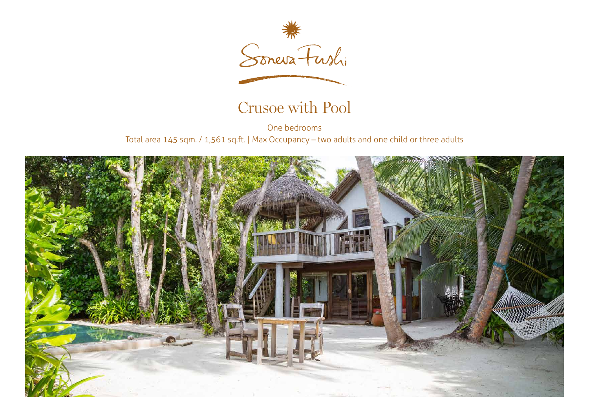

## Crusoe with Pool

One bedrooms Total area 145 sqm. / 1,561 sq.ft. | Max Occupancy – two adults and one child or three adults

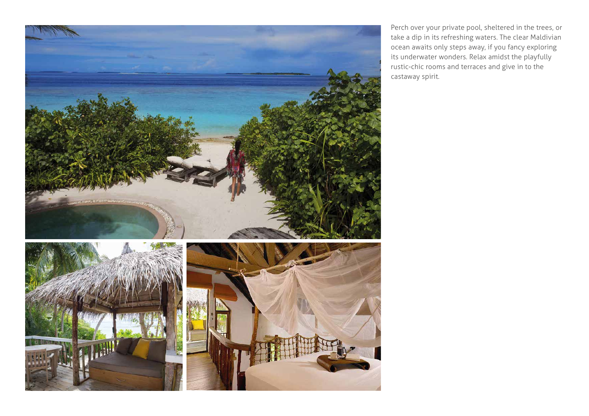

Perch over your private pool, sheltered in the trees, or take a dip in its refreshing waters. The clear Maldivian ocean awaits only steps away, if you fancy exploring its underwater wonders. Relax amidst the playfully rustic-chic rooms and terraces and give in to the castaway spirit.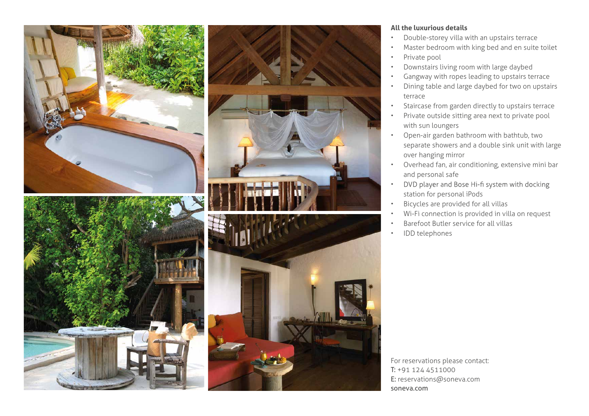

## **All the luxurious details**

- Double-storey villa with an upstairs terrace
- Master bedroom with king bed and en suite toilet
- Private pool
- Downstairs living room with large daybed
- Gangway with ropes leading to upstairs terrace
- Dining table and large daybed for two on upstairs terrace
- Staircase from garden directly to upstairs terrace
- Private outside sitting area next to private pool with sun loungers
- Open-air garden bathroom with bathtub, two separate showers and a double sink unit with large over hanging mirror
- Overhead fan, air conditioning, extensive mini bar and personal safe
- DVD player and Bose Hi-fi system with docking • station for personal iPods
- Bicycles are provided for all villas
- Wi-Fi connection is provided in villa on request
- Barefoot Butler service for all villas
- IDD telephones

For reservations please contact: T: +91 124 4511000 E: reservations@soneva.com soneva.com